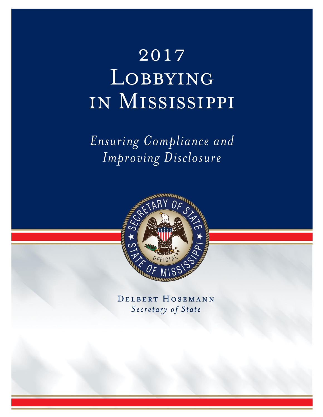# 2017 LOBBYING IN MISSISSIPPI

Ensuring Compliance and Improving Disclosure



DELBERT HOSEMANN Secretary of State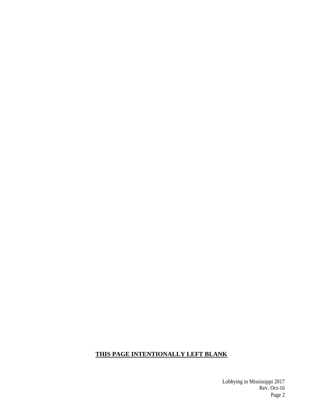### **THIS PAGE INTENTIONALLY LEFT BLANK**

Lobbying in Mississippi 2017 Rev. Oct-16 Page 2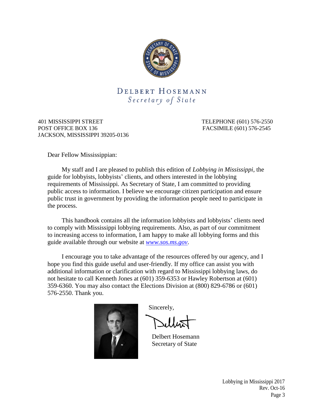

## DELBERT HOSEMANN Secretary of State

401 MISSISSIPPI STREET TELEPHONE (601) 576-2550 POST OFFICE BOX 136 FACSIMILE (601) 576-2545 JACKSON, MISSISSIPPI 39205-0136

Dear Fellow Mississippian:

My staff and I are pleased to publish this edition of *Lobbying in Mississippi*, the guide for lobbyists, lobbyists' clients, and others interested in the lobbying requirements of Mississippi. As Secretary of State, I am committed to providing public access to information. I believe we encourage citizen participation and ensure public trust in government by providing the information people need to participate in the process.

This handbook contains all the information lobbyists and lobbyists' clients need to comply with Mississippi lobbying requirements. Also, as part of our commitment to increasing access to information, I am happy to make all lobbying forms and this guide available through our website at *[www.sos.ms.gov](http://www.sos.ms.gov/)*.

I encourage you to take advantage of the resources offered by our agency, and I hope you find this guide useful and user-friendly. If my office can assist you with additional information or clarification with regard to Mississippi lobbying laws, do not hesitate to call Kenneth Jones at (601) 359-6353 or Hawley Robertson at (601) 359-6360. You may also contact the Elections Division at (800) 829-6786 or (601) 576-2550. Thank you.



Sincerely,

Delbert Hosemann Secretary of State

Lobbying in Mississippi 2017 Rev. Oct-16 Page 3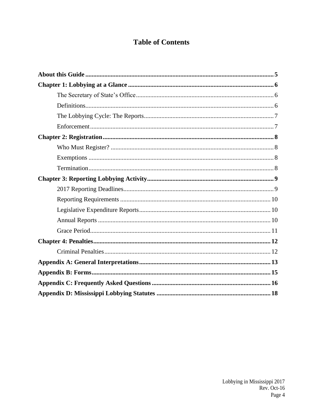## **Table of Contents**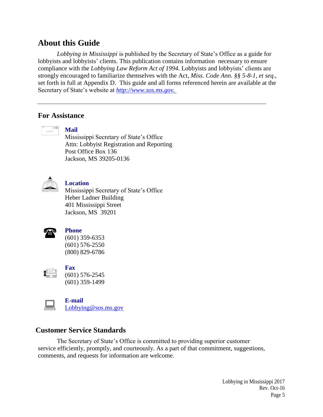## <span id="page-4-0"></span>**About this Guide**

*Lobbying in Mississippi* is published by the Secretary of State's Office as a guide for lobbyists and lobbyists' clients. This publication contains information necessary to ensure compliance with the *Lobbying Law Reform Act of 1994.* Lobbyists and lobbyists' clients are strongly encouraged to familiarize themselves with the Act, *Miss. Code Ann. §§ 5-8-1, et seq*., set forth in full at Appendix D. This guide and all forms referenced herein are available at the Secretary of State's website at *[http://www.sos.ms.gov.](http://www.sos.ms.gov/)* 

#### **For Assistance**



**Mail**

Mississippi Secretary of State's Office Attn: Lobbyist Registration and Reporting Post Office Box 136 Jackson, MS 39205-0136



#### **Location**

Mississippi Secretary of State's Office Heber Ladner Building 401 Mississippi Street Jackson, MS 39201



**Phone**(601) 359-6353 (601) 576-2550 (800) 829-6786



**Fax** (601) 576-2545 (601) 359-1499



**E-mail** [Lobbying@sos.ms.gov](mailto:Lobbying@sos.ms.gov)

### **Customer Service Standards**

The Secretary of State's Office is committed to providing superior customer service efficiently, promptly, and courteously. As a part of that commitment, suggestions, comments, and requests for information are welcome.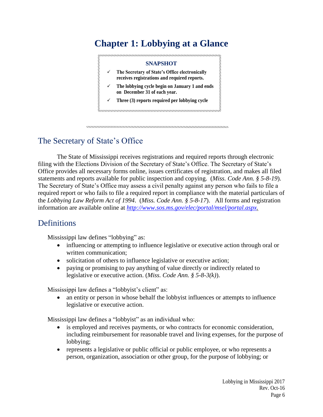## **Chapter 1: Lobbying at a Glance**

<span id="page-5-0"></span>

## <span id="page-5-1"></span>The Secretary of State's Office

The State of Mississippi receives registrations and required reports through electronic filing with the Elections Division of the Secretary of State's Office. The Secretary of State's Office provides all necessary forms online, issues certificates of registration, and makes all filed statements and reports available for public inspection and copying. (*Miss. Code Ann. § 5-8-19*). The Secretary of State's Office may assess a civil penalty against any person who fails to file a required report or who fails to file a required report in compliance with the material particulars of the *Lobbying Law Reform Act of 1994*. (*Miss. Code Ann. § 5-8-17*). All forms and registration information are available online at *[http://www.sos.ms.gov/elec/portal/msel/portal.aspx.](http://www.sos.ms.gov/elec/portal/msel/portal.aspx)* 

## <span id="page-5-2"></span>Definitions

Mississippi law defines "lobbying" as:

- influencing or attempting to influence legislative or executive action through oral or written communication;
- solicitation of others to influence legislative or executive action;
- paying or promising to pay anything of value directly or indirectly related to legislative or executive action. (*Miss. Code Ann. § 5-8-3(k)*).

Mississippi law defines a "lobbyist's client" as:

• an entity or person in whose behalf the lobbyist influences or attempts to influence legislative or executive action.

Mississippi law defines a "lobbyist" as an individual who:

- is employed and receives payments, or who contracts for economic consideration, including reimbursement for reasonable travel and living expenses, for the purpose of lobbying;
- represents a legislative or public official or public employee, or who represents a person, organization, association or other group, for the purpose of lobbying; or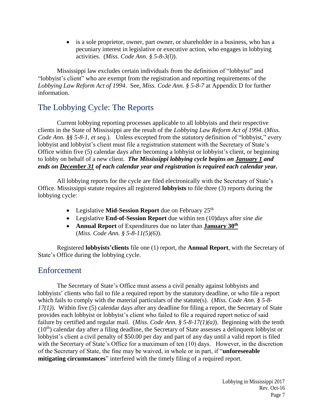is a sole proprietor, owner, part owner, or shareholder in a business, who has a pecuniary interest in legislative or executive action, who engages in lobbying activities. (*Miss. Code Ann. § 5-8-3(l)*).

Mississippi law excludes certain individuals from the definition of "lobbyist" and "lobbyist's client" who are exempt from the registration and reporting requirements of the *Lobbying Law Reform Act of 1994*. See, *Miss. Code Ann. § 5-8-7* at Appendix D for further information.

## <span id="page-6-0"></span>The Lobbying Cycle: The Reports

Current lobbying reporting processes applicable to all lobbyists and their respective clients in the State of Mississippi are the result of the *Lobbying Law Reform Act of 1994*. (*Miss. Code Ann. §§ 5-8-1, et seq.*). Unless excepted from the statutory definition of "lobbyist," every lobbyist and lobbyist's client must file a registration statement with the Secretary of State's Office within five (5) calendar days after becoming a lobbyist or lobbyist's client, or beginning to lobby on behalf of a new client. *The Mississippi lobbying cycle begins on January 1 and ends on December 31 of each calendar year and registration is required each calendar year.* 

All lobbying reports for the cycle are filed electronically with the Secretary of State's Office. Mississippi statute requires all registered **lobbyists** to file three (3) reports during the lobbying cycle:

- Legislative **Mid-Session Report** due on February 25<sup>th</sup>
- Legislative **End-of-Session Report** due within ten (10)days after *sine die*
- **Annual Report** of Expenditures due no later than **January 30th**  (*Miss. Code Ann. § 5-8-11(5)(6)*).

Registered **lobbyists'clients** file one (1) report, the **Annual Report**, with the Secretary of State's Office during the lobbying cycle.

### <span id="page-6-1"></span>Enforcement

The Secretary of State's Office must assess a civil penalty against lobbyists and lobbyists' clients who fail to file a required report by the statutory deadline, or who file a report which fails to comply with the material particulars of the statute(s). (*Miss. Code Ann. § 5-8- 17(1)*). Within five (5) calendar days after any deadline for filing a report, the Secretary of State provides each lobbyist or lobbyist's client who failed to file a required report notice of said failure by certified and regular mail. (*Miss. Code Ann. § 5-8-17(1)(a)*). Beginning with the tenth  $(10<sup>th</sup>)$  calendar day after a filing deadline, the Secretary of State assesses a delinquent lobbyist or lobbyist's client a civil penalty of \$50.00 per day and part of any day until a valid report is filed with the Secertary of State's Office for a maximum of ten (10) days. However, in the discretion of the Secretary of State, the fine may be waived, in whole or in part, if "**unforeseeable mitigating circumstances**" interfered with the timely filing of a required report.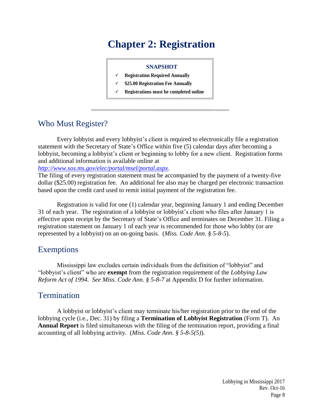## <span id="page-7-0"></span>**Chapter 2: Registration**



## <span id="page-7-1"></span>Who Must Register?

Every lobbyist and every lobbyist's client is required to electronically file a registration statement with the Secretary of State's Office within five (5) calendar days after becoming a lobbyist, becoming a lobbyist's client or beginning to lobby for a new client. Registration forms and additional information is available online at

*<http://www.sos.ms.gov/elec/portal/msel/portal.aspx>*.

The filing of every registration statement must be accompanied by the payment of a twenty-five dollar (\$25.00) registration fee. An additional fee also may be charged per electronic transaction based upon the credit card used to remit initial payment of the registration fee.

Registration is valid for one (1) calendar year, beginning January 1 and ending December 31 of each year. The registration of a lobbyist or lobbyist's client who files after January 1 is effective upon receipt by the Secretary of State's Office and terminates on December 31. Filing a registration statement on January 1 of each year is recommended for those who lobby (or are represented by a lobbyist) on an on-going basis. (*Miss. Code Ann. § 5-8-5*).

## <span id="page-7-2"></span>Exemptions

Mississippi law excludes certain individuals from the definition of "lobbyist" and "lobbyist's client" who are **exempt** from the registration requirement of the *Lobbying Law Reform Act of 1994*. *See Miss. Code Ann. § 5-8-7* at Appendix D for further information.

## <span id="page-7-3"></span>**Termination**

A lobbyist or lobbyist's client may terminate his/her registration prior to the end of the lobbying cycle (i.e., Dec. 31) by filing a **Termination of Lobbyist Registration** (Form T). An **Annual Report** is filed simultaneous with the filing of the termination report, providing a final accounting of all lobbying activity. (*Miss. Code Ann. § 5-8-5(5)*).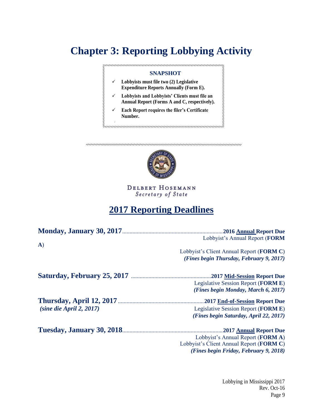## <span id="page-8-0"></span>**Chapter 3: Reporting Lobbying Activity**







DELBERT HOSEMANN Secretary of State

## **2017 Reporting Deadlines**

<span id="page-8-1"></span>**Monday, January 30, 2017**.....................................................................**2016 Annual Report Due** Lobbyist's Annual Report (**FORM A**) Lobbyist's Client Annual Report (**FORM C**) *(Fines begin Thursday, February 9, 2017)* **Saturday, February 25, 2017** .......................................................**2017 Mid-Session Report Due** Legislative Session Report (**FORM E**)  *(Fines begin Monday, March 6, 2017)* **Thursday, April 12, 2017**...........................................................**2017 End-of-Session Report Due**  *(sine die April 2, 2017)* Legislative Session Report (**FORM E**) *(Fines begin Saturday, April 22, 2017)* **Tuesday, January 30, 2018**.....................................................................**2017 Annual Report Due** Lobbyist's Annual Report (**FORM A**) Lobbyist's Client Annual Report (**FORM C**) *(Fines begin Friday, February 9, 2018)*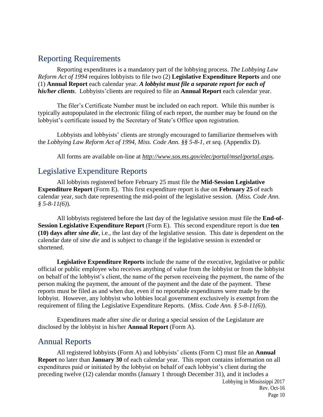## <span id="page-9-0"></span>Reporting Requirements

Reporting expenditures is a mandatory part of the lobbying process. *The Lobbying Law Reform Act of 1994* requires lobbyists to file two (2) **Legislative Expenditure Reports** and one (1) **Annual Report** each calendar year. *A lobbyist must file a separate report for each of his/her clients*. Lobbyists'clients are required to file an **Annual Report** each calendar year.

The filer's Certificate Number must be included on each report. While this number is typically autopopulated in the electronic filing of each report, the number may be found on the lobbyist's certificate issued by the Secretary of State's Office upon registration.

Lobbyists and lobbyists' clients are strongly encouraged to familiarize themselves with the *Lobbying Law Reform Act of 1994*, *Miss. Code Ann. §§ 5-8-1, et seq.* (Appendix D).

All forms are available on-line at *http://www.sos.ms.gov/elec/portal/msel/portal.aspx.*

### <span id="page-9-1"></span>Legislative Expenditure Reports

All lobbyists registered before February 25 must file the **Mid-Session Legislative Expenditure Report** (Form E). This first expenditure report is due on **February 25** of each calendar year, such date representing the mid-point of the legislative session. (*Miss. Code Ann. § 5-8-11(6)*).

All lobbyists registered before the last day of the legislative session must file the **End-of-Session Legislative Expenditure Report** (Form E). This second expenditure report is due **ten (10) days after** *sine die*, i.e., the last day of the legislative session. This date is dependent on the calendar date of *sine die* and is subject to change if the legislative session is extended or shortened.

**Legislative Expenditure Reports** include the name of the executive, legislative or public official or public employee who receives anything of value from the lobbyist or from the lobbyist on behalf of the lobbyist's client, the name of the person receiveing the payment, the name of the person making the payment, the amount of the payment and the date of the payment. These reports must be filed as and when due, even if no reportable expenditures were made by the lobbyist. However, any lobbyist who lobbies local government exclusively is exempt from the requirement of filing the Legislative Expenditure Reports. (*Miss. Code Ann. § 5-8-11(6)*).

Expenditures made after *sine die* or during a special session of the Legislature are disclosed by the lobbyist in his/her **Annual Report** (Form A).

### <span id="page-9-2"></span>Annual Reports

All registered lobbyists (Form A) and lobbyists' clients (Form C) must file an **Annual Report** no later than **January 30** of each calendar year. This report contains information on all expenditures paid or initiated by the lobbyist on behalf of each lobbyist's client during the preceding twelve (12) calendar months (January 1 through December 31), and it includes a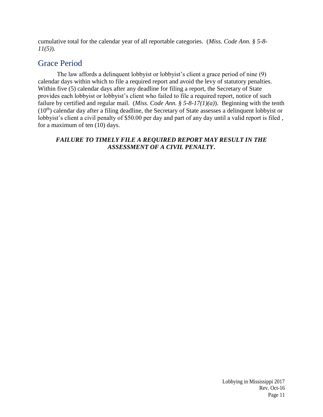cumulative total for the calendar year of all reportable categories. (*Miss. Code Ann. § 5-8- 11(5)*).

## <span id="page-10-0"></span>Grace Period

The law affords a delinquent lobbyist or lobbyist's client a grace period of nine (9) calendar days within which to file a required report and avoid the levy of statutory penalties. Within five (5) calendar days after any deadline for filing a report, the Secretary of State provides each lobbyist or lobbyist's client who failed to file a required report, notice of such failure by certified and regular mail. (*Miss. Code Ann. § 5-8-17(1)(a)*). Beginning with the tenth  $(10<sup>th</sup>)$  calendar day after a filing deadline, the Secretary of State assesses a delinquent lobbyist or lobbyist's client a civil penalty of \$50.00 per day and part of any day until a valid report is filed, for a maximum of ten (10) days.

### *FAILURE TO TIMELY FILE A REQUIRED REPORT MAY RESULT IN THE ASSESSMENT OF A CIVIL PENALTY***.**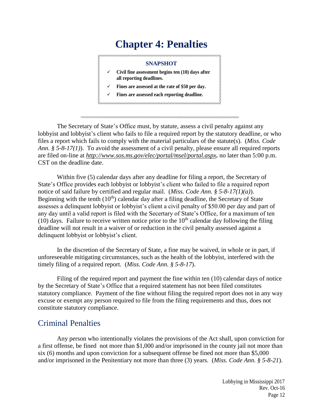<span id="page-11-0"></span>

The Secretary of State's Office must, by statute, assess a civil penalty against any lobbyist and lobbyist's client who fails to file a required report by the statutory deadline, or who files a report which fails to comply with the material particulars of the statute(s). (*Miss. Code Ann. § 5-8-17(1)*). To avoid the assessment of a civil penalty, please ensure all required reports are filed on-line at *http://www.sos.ms.gov/elec/portal/msel/portal.aspx.* no later than 5:00 p.m. CST on the deadline date.

Within five (5) calendar days after any deadline for filing a report, the Secretary of State's Office provides each lobbyist or lobbyist's client who failed to file a required report notice of said failure by certified and regular mail. (*Miss. Code Ann. § 5-8-17(1)(a)*). Beginning with the tenth  $(10<sup>th</sup>)$  calendar day after a filing deadline, the Secretary of State assesses a delinquent lobbyist or lobbyist's client a civil penalty of \$50.00 per day and part of any day until a valid report is filed with the Secertary of State's Office, for a maximum of ten (10) days. Failure to receive written notice prior to the  $10<sup>th</sup>$  calendar day following the filing deadline will not result in a waiver of or reduction in the civil penalty assessed against a delinquent lobbyist or lobbyist's client.

In the discretion of the Secretary of State, a fine may be waived, in whole or in part, if unforeseeable mitigating circumstances, such as the health of the lobbyist, interfered with the timely filing of a required report. (*Miss. Code Ann. § 5-8-17*).

Filing of the required report and payment the fine within ten (10) calendar days of notice by the Secretary of State's Office that a required statement has not been filed constitutes statutory compliance. Payment of the fine without filing the required report does not in any way excuse or exempt any person required to file from the filing requirements and thus, does not constitute statutory compliance.

### <span id="page-11-1"></span>Criminal Penalties

Any person who intentionally violates the provisions of the Act shall, upon conviction for a first offense, be fined not more than \$1,000 and/or imprisoned in the county jail not more than six (6) months and upon conviction for a subsequent offense be fined not more than \$5,000 and/or imprisoned in the Penitentiary not more than three (3) years. (*Miss. Code Ann. § 5-8-21*).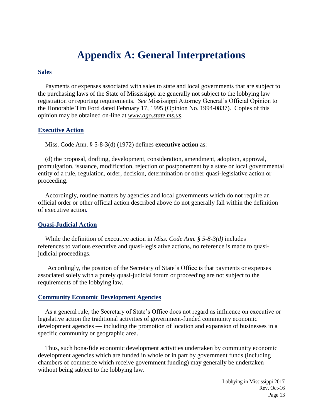## **Appendix A: General Interpretations**

#### <span id="page-12-0"></span>**Sales**

Payments or expenses associated with sales to state and local governments that are subject to the purchasing laws of the State of Mississippi are generally not subject to the lobbying law registration or reporting requirements. *See* Mississippi Attorney General's Official Opinion to the Honorable Tim Ford dated February 17, 1995 (Opinion No. 1994-0837). Copies of this opinion may be obtained on-line at *[www.ago.state.ms.us](http://www.ago.state.ms.us/)*.

#### **Executive Action**

Miss. Code Ann. § 5-8-3(d) (1972) defines **executive action** as:

(d) the proposal, drafting, development, consideration, amendment, adoption, approval, promulgation, issuance, modification, rejection or postponement by a state or local governmental entity of a rule, regulation, order, decision, determination or other quasi-legislative action or proceeding.

Accordingly, routine matters by agencies and local governments which do not require an official order or other official action described above do not generally fall within the definition of executive action*.*

#### **Quasi-Judicial Action**

While the definition of executive action in *Miss. Code Ann. § 5-8-3(d)* includes references to various executive and quasi-legislative actions, no reference is made to quasijudicial proceedings.

Accordingly, the position of the Secretary of State's Office is that payments or expenses associated solely with a purely quasi-judicial forum or proceeding are not subject to the requirements of the lobbying law.

#### **Community Economic Development Agencies**

As a general rule, the Secretary of State's Office does not regard as influence on executive or legislative action the traditional activities of government-funded community economic development agencies — including the promotion of location and expansion of businesses in a specific community or geographic area.

Thus, such bona-fide economic development activities undertaken by community economic development agencies which are funded in whole or in part by government funds (including chambers of commerce which receive government funding) may generally be undertaken without being subject to the lobbying law.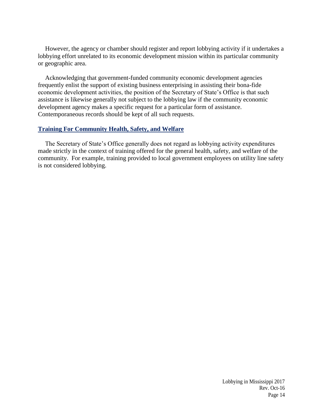However, the agency or chamber should register and report lobbying activity if it undertakes a lobbying effort unrelated to its economic development mission within its particular community or geographic area.

Acknowledging that government-funded community economic development agencies frequently enlist the support of existing business enterprising in assisting their bona-fide economic development activities, the position of the Secretary of State's Office is that such assistance is likewise generally not subject to the lobbying law if the community economic development agency makes a specific request for a particular form of assistance. Contemporaneous records should be kept of all such requests.

#### **Training For Community Health, Safety, and Welfare**

The Secretary of State's Office generally does not regard as lobbying activity expenditures made strictly in the context of training offered for the general health, safety, and welfare of the community. For example, training provided to local government employees on utility line safety is not considered lobbying.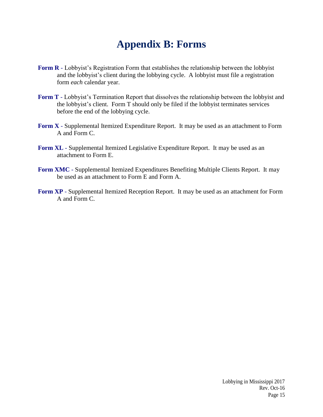## **Appendix B: Forms**

- <span id="page-14-0"></span>**Form R** - Lobbyist's Registration Form that establishes the relationship between the lobbyist and the lobbyist's client during the lobbying cycle. A lobbyist must file a registration form *each* calendar year.
- **Form T**  Lobbyist's Termination Report that dissolves the relationship between the lobbyist and the lobbyist's client. Form T should only be filed if the lobbyist terminates services before the end of the lobbying cycle.
- **Form X**  Supplemental Itemized Expenditure Report. It may be used as an attachment to Form A and Form C.
- **Form XL**  Supplemental Itemized Legislative Expenditure Report. It may be used as an attachment to Form E.
- **Form XMC**  Supplemental Itemized Expenditures Benefiting Multiple Clients Report. It may be used as an attachment to Form E and Form A.
- **Form XP**  Supplemental Itemized Reception Report. It may be used as an attachment for Form A and Form C.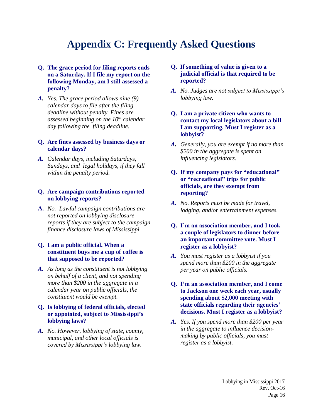## **Appendix C: Frequently Asked Questions**

- <span id="page-15-0"></span>**Q. The grace period for filing reports ends on a Saturday. If I file my report on the following Monday, am I still assessed a penalty?**
- *A. Yes. The grace period allows nine (9) calendar days to file after the filing deadline without penalty. Fines are assessed beginning on the 10th calendar day following the filing deadline.*

#### **Q. Are fines assessed by business days or calendar days?**

*A. Calendar days, including Saturdays, Sundays, and legal holidays, if they fall within the penalty period.*

#### **Q. Are campaign contributions reported on lobbying reports?**

**A.** *No. Lawful campaign contributions are not reported on lobbying disclosure reports if they are subject to the campaign finance disclosure laws of Mississippi.*

#### **Q. I am a public official. When a constituent buys me a cup of coffee is that supposed to be reported?**

*A. As long as the constituent is not lobbying on behalf of a client, and not spending more than \$200 in the aggregate in a calendar year on public officials, the constituent would be exempt.*

#### **Q. Is lobbying of federal officials, elected or appointed, subject to Mississippi's lobbying laws?**

*A. No. However, lobbying of state, county, municipal, and other local officials is covered by Mississippi's lobbying law.* 

- **Q. If something of value is given to a judicial official is that required to be reported?**
- *A. No. Judges are not subject to Mississippi's lobbying law.*
- **Q. I am a private citizen who wants to contact my local legislators about a bill I am supporting. Must I register as a lobbyist?**
- *A. Generally, you are exempt if no more than \$200 in the aggregate is spent on influencing legislators.*
- **Q. If my company pays for "educational" or "recreational" trips for public officials, are they exempt from reporting?**
- *A. No. Reports must be made for travel, lodging, and/or entertainment expenses.*
- **Q. I'm an association member, and I took a couple of legislators to dinner before an important committee vote. Must I register as a lobbyist?**
- *A. You must register as a lobbyist if you spend more than \$200 in the aggregate per year on public officials.*
- **Q. I'm an association member, and I come to Jackson one week each year, usually spending about \$2,000 meeting with state officials regarding their agencies' decisions. Must I register as a lobbyist?**
- *A. Yes. If you spend more than \$200 per year in the aggregate to influence decisionmaking by public officials, you must register as a lobbyist.*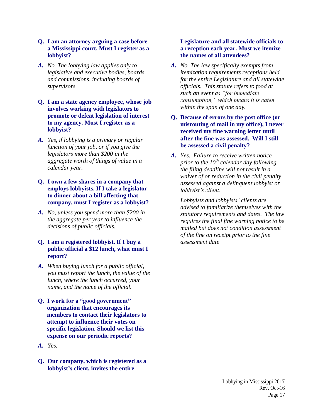**Q. I am an attorney arguing a case before a Mississippi court. Must I register as a lobbyist?**

- *A. No. The lobbying law applies only to legislative and executive bodies, boards and commissions, including boards of supervisors.*
- **Q. I am a state agency employee, whose job involves working with legislators to promote or defeat legislation of interest to my agency. Must I register as a lobbyist?**
- *A. Yes, if lobbying is a primary or regular function of your job, or if you give the legislators more than \$200 in the aggregate worth of things of value in a calendar year.*
- **Q. I own a few shares in a company that employs lobbyists. If I take a legislator to dinner about a bill affecting that company, must I register as a lobbyist?**
- *A. No, unless you spend more than \$200 in the aggregate per year to influence the decisions of public officials.*

#### **Q. I am a registered lobbyist. If I buy a public official a \$12 lunch, what must I report?**

- *A. When buying lunch for a public official, you must report the lunch, the value of the lunch, where the lunch occurred, your name, and the name of the official.*
- **Q. I work for a "good government" organization that encourages its members to contact their legislators to attempt to influence their votes on specific legislation. Should we list this expense on our periodic reports?**
- *A. Yes.*
- **Q. Our company, which is registered as a lobbyist's client, invites the entire**

#### **Legislature and all statewide officials to a reception each year. Must we itemize the names of all attendees?**

- *A. No. The law specifically exempts from itemization requirements receptions held for the entire Legislature and all statewide officials. This statute refers to food at such an event as "for immediate consumption," which means it is eaten within the span of one day.*
- **Q. Because of errors by the post office (or misrouting of mail in my office), I never received my fine warning letter until after the fine was assessed. Will I still be assessed a civil penalty?**
- *A. Yes. Failure to receive written notice prior to the 10th calendar day following the filing deadline will not result in a waiver of or reduction in the civil penalty assessed against a delinquent lobbyist or lobbyist's client.*

*Lobbyists and lobbyists' clients are advised to familiarize themselves with the statutory requirements and dates. The law requires the final fine warning notice to be mailed but does not condition assessment of the fine on receipt prior to the fine assessment date*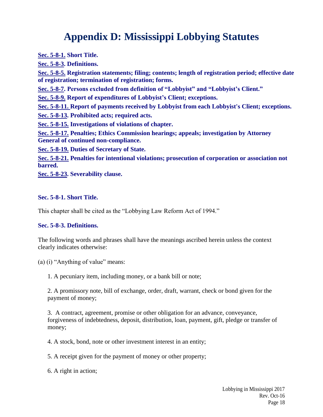## **Appendix D: Mississippi Lobbying Statutes**

<span id="page-17-0"></span>**Sec. 5-8-1. Short Title. Sec. 5-8-3. Definitions. Sec. 5-8-5. Registration statements; filing; contents; length of registration period; effective date of registration; termination of registration; forms. Sec. 5-8-7. Persons excluded from definition of "Lobbyist" and "Lobbyist's Client." Sec. 5-8-9. Report of expenditures of Lobbyist's Client; exceptions. Sec. 5-8-11. Report of payments received by Lobbyist from each Lobbyist's Client; exceptions. Sec. 5-8-13. Prohibited acts; required acts. Sec. 5-8-15. Investigations of violations of chapter. Sec. 5-8-17. Penalties; Ethics Commission hearings; appeals; investigation by Attorney General of continued non-compliance. Sec. 5-8-19. Duties of Secretary of State. Sec. 5-8-21. Penalties for intentional violations; prosecution of corporation or association not barred.**

**Sec. 5-8-23. Severability clause.**

#### **Sec. 5-8-1. Short Title.**

This chapter shall be cited as the "Lobbying Law Reform Act of 1994."

#### **Sec. 5-8-3. Definitions.**

The following words and phrases shall have the meanings ascribed herein unless the context clearly indicates otherwise:

(a) (i) "Anything of value" means:

1. A pecuniary item, including money, or a bank bill or note;

2. A promissory note, bill of exchange, order, draft, warrant, check or bond given for the payment of money;

3. A contract, agreement, promise or other obligation for an advance, conveyance, forgiveness of indebtedness, deposit, distribution, loan, payment, gift, pledge or transfer of money;

4. A stock, bond, note or other investment interest in an entity;

5. A receipt given for the payment of money or other property;

6. A right in action;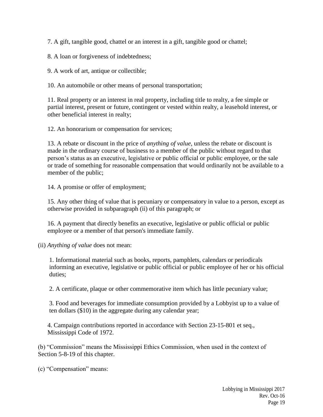7. A gift, tangible good, chattel or an interest in a gift, tangible good or chattel;

8. A loan or forgiveness of indebtedness;

9. A work of art, antique or collectible;

10. An automobile or other means of personal transportation;

11. Real property or an interest in real property, including title to realty, a fee simple or partial interest, present or future, contingent or vested within realty, a leasehold interest, or other beneficial interest in realty;

12. An honorarium or compensation for services;

13. A rebate or discount in the price of *anything of value*, unless the rebate or discount is made in the ordinary course of business to a member of the public without regard to that person's status as an executive, legislative or public official or public employee, or the sale or trade of something for reasonable compensation that would ordinarily not be available to a member of the public;

14. A promise or offer of employment;

15. Any other thing of value that is pecuniary or compensatory in value to a person, except as otherwise provided in subparagraph (ii) of this paragraph; or

16. A payment that directly benefits an executive, legislative or public official or public employee or a member of that person's immediate family.

(ii) *Anything of value* does not mean:

1. Informational material such as books, reports, pamphlets, calendars or periodicals informing an executive, legislative or public official or public employee of her or his official duties;

2. A certificate, plaque or other commemorative item which has little pecuniary value;

3. Food and beverages for immediate consumption provided by a Lobbyist up to a value of ten dollars (\$10) in the aggregate during any calendar year;

4. Campaign contributions reported in accordance with Section 23-15-801 et seq., Mississippi Code of 1972.

(b) "Commission" means the Mississippi Ethics Commission, when used in the context of Section 5-8-19 of this chapter.

(c) "Compensation" means: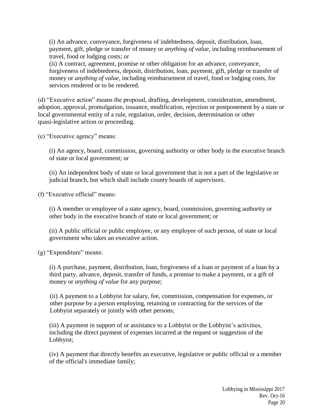(i) An advance, conveyance, forgiveness of indebtedness, deposit, distribution, loan, payment, gift, pledge or transfer of money or *anything of value*, including reimbursement of travel, food or lodging costs; or

(ii) A contract, agreement, promise or other obligation for an advance, conveyance, forgiveness of indebtedness, deposit, distribution, loan, payment, gift, pledge or transfer of money or *anything of value*, including reimbursement of travel, food or lodging costs, for services rendered or to be rendered.

(d) "Executive action" means the proposal, drafting, development, consideration, amendment, adoption, approval, promulgation, issuance, modification, rejection or postponement by a state or local governmental entity of a rule, regulation, order, decision, determination or other quasi-legislative action or proceeding.

(e) "Executive agency" means:

(i) An agency, board, commission, governing authority or other body in the executive branch of state or local government; or

(ii) An independent body of state or local government that is not a part of the legislative or judicial branch, but which shall include county boards of supervisors.

(f) "Executive official" means:

(i) A member or employee of a state agency, board, commission, governing authority or other body in the executive branch of state or local government; or

(ii) A public official or public employee, or any employee of such person, of state or local government who takes an executive action.

(g) "Expenditure" means:

(i) A purchase, payment, distribution, loan, forgiveness of a loan or payment of a loan by a third party, advance, deposit, transfer of funds, a promise to make a payment, or a gift of money or *anything of value* for any purpose;

(ii) A payment to a Lobbyist for salary, fee, commission, compensation for expenses, or other purpose by a person employing, retaining or contracting for the services of the Lobbyist separately or jointly with other persons;

(iii) A payment in support of or assistance to a Lobbyist or the Lobbyist's activities, including the direct payment of expenses incurred at the request or suggestion of the Lobbyist;

(iv) A payment that directly benefits an executive, legislative or public official or a member of the official's immediate family;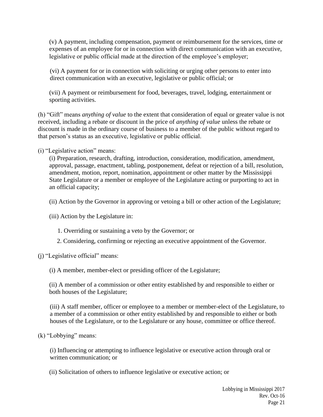(v) A payment, including compensation, payment or reimbursement for the services, time or expenses of an employee for or in connection with direct communication with an executive, legislative or public official made at the direction of the employee's employer;

(vi) A payment for or in connection with soliciting or urging other persons to enter into direct communication with an executive, legislative or public official; or

(vii) A payment or reimbursement for food, beverages, travel, lodging, entertainment or sporting activities.

(h) "Gift" means *anything of value* to the extent that consideration of equal or greater value is not received, including a rebate or discount in the price of *anything of value* unless the rebate or discount is made in the ordinary course of business to a member of the public without regard to that person's status as an executive, legislative or public official.

(i) "Legislative action" means:

(i) Preparation, research, drafting, introduction, consideration, modification, amendment, approval, passage, enactment, tabling, postponement, defeat or rejection of a bill, resolution, amendment, motion, report, nomination, appointment or other matter by the Mississippi State Legislature or a member or employee of the Legislature acting or purporting to act in an official capacity;

(ii) Action by the Governor in approving or vetoing a bill or other action of the Legislature;

- (iii) Action by the Legislature in:
	- 1. Overriding or sustaining a veto by the Governor; or
	- 2. Considering, confirming or rejecting an executive appointment of the Governor.

(j) "Legislative official" means:

(i) A member, member-elect or presiding officer of the Legislature;

(ii) A member of a commission or other entity established by and responsible to either or both houses of the Legislature;

(iii) A staff member, officer or employee to a member or member-elect of the Legislature, to a member of a commission or other entity established by and responsible to either or both houses of the Legislature, or to the Legislature or any house, committee or office thereof.

(k) "Lobbying" means:

(i) Influencing or attempting to influence legislative or executive action through oral or written communication; or

(ii) Solicitation of others to influence legislative or executive action; or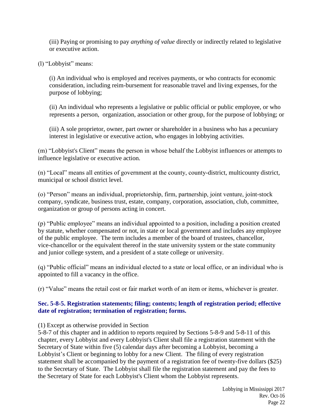(iii) Paying or promising to pay *anything of value* directly or indirectly related to legislative or executive action.

(l) "Lobbyist" means:

(i) An individual who is employed and receives payments, or who contracts for economic consideration, including reim-bursement for reasonable travel and living expenses, for the purpose of lobbying;

(ii) An individual who represents a legislative or public official or public employee, or who represents a person, organization, association or other group, for the purpose of lobbying; or

(iii) A sole proprietor, owner, part owner or shareholder in a business who has a pecuniary interest in legislative or executive action, who engages in lobbying activities.

(m) "Lobbyist's Client" means the person in whose behalf the Lobbyist influences or attempts to influence legislative or executive action.

(n) "Local" means all entities of government at the county, county-district, multicounty district, municipal or school district level.

(o) "Person" means an individual, proprietorship, firm, partnership, joint venture, joint-stock company, syndicate, business trust, estate, company, corporation, association, club, committee, organization or group of persons acting in concert.

(p) "Public employee" means an individual appointed to a position, including a position created by statute, whether compensated or not, in state or local government and includes any employee of the public employee. The term includes a member of the board of trustees, chancellor, vice-chancellor or the equivalent thereof in the state university system or the state community and junior college system, and a president of a state college or university.

(q) "Public official" means an individual elected to a state or local office, or an individual who is appointed to fill a vacancy in the office.

(r) "Value" means the retail cost or fair market worth of an item or items, whichever is greater.

#### **Sec. 5-8-5. Registration statements; filing; contents; length of registration period; effective date of registration; termination of registration; forms.**

(1) Except as otherwise provided in Section

5-8-7 of this chapter and in addition to reports required by Sections 5-8-9 and 5-8-11 of this chapter, every Lobbyist and every Lobbyist's Client shall file a registration statement with the Secretary of State within five (5) calendar days after becoming a Lobbyist, becoming a Lobbyist's Client or beginning to lobby for a new Client. The filing of every registration statement shall be accompanied by the payment of a registration fee of twenty-five dollars (\$25) to the Secretary of State. The Lobbyist shall file the registration statement and pay the fees to the Secretary of State for each Lobbyist's Client whom the Lobbyist represents.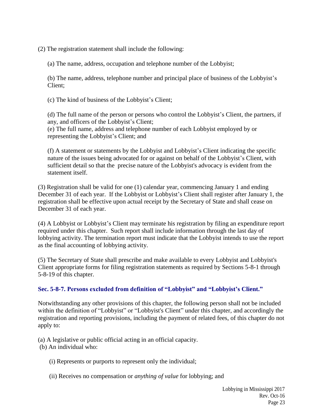(2) The registration statement shall include the following:

(a) The name, address, occupation and telephone number of the Lobbyist;

(b) The name, address, telephone number and principal place of business of the Lobbyist's Client;

(c) The kind of business of the Lobbyist's Client;

(d) The full name of the person or persons who control the Lobbyist's Client, the partners, if any, and officers of the Lobbyist's Client; (e) The full name, address and telephone number of each Lobbyist employed by or

representing the Lobbyist's Client; and

(f) A statement or statements by the Lobbyist and Lobbyist's Client indicating the specific nature of the issues being advocated for or against on behalf of the Lobbyist's Client, with sufficient detail so that the precise nature of the Lobbyist's advocacy is evident from the statement itself.

(3) Registration shall be valid for one (1) calendar year, commencing January 1 and ending December 31 of each year. If the Lobbyist or Lobbyist's Client shall register after January 1, the registration shall be effective upon actual receipt by the Secretary of State and shall cease on December 31 of each year.

(4) A Lobbyist or Lobbyist's Client may terminate his registration by filing an expenditure report required under this chapter. Such report shall include information through the last day of lobbying activity. The termination report must indicate that the Lobbyist intends to use the report as the final accounting of lobbying activity.

(5) The Secretary of State shall prescribe and make available to every Lobbyist and Lobbyist's Client appropriate forms for filing registration statements as required by Sections 5-8-1 through 5-8-19 of this chapter.

#### **Sec. 5-8-7. Persons excluded from definition of "Lobbyist" and "Lobbyist's Client."**

Notwithstanding any other provisions of this chapter, the following person shall not be included within the definition of "Lobbyist" or "Lobbyist's Client" under this chapter, and accordingly the registration and reporting provisions, including the payment of related fees, of this chapter do not apply to:

(a) A legislative or public official acting in an official capacity. (b) An individual who:

(i) Represents or purports to represent only the individual;

(ii) Receives no compensation or *anything of value* for lobbying; and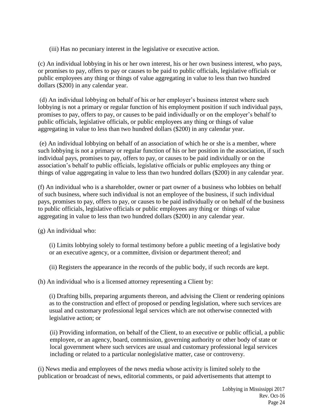(iii) Has no pecuniary interest in the legislative or executive action.

(c) An individual lobbying in his or her own interest, his or her own business interest, who pays, or promises to pay, offers to pay or causes to be paid to public officials, legislative officials or public employees any thing or things of value aggregating in value to less than two hundred dollars (\$200) in any calendar year.

(d) An individual lobbying on behalf of his or her employer's business interest where such lobbying is not a primary or regular function of his employment position if such individual pays, promises to pay, offers to pay, or causes to be paid individually or on the employer's behalf to public officials, legislative officials, or public employees any thing or things of value aggregating in value to less than two hundred dollars (\$200) in any calendar year.

(e) An individual lobbying on behalf of an association of which he or she is a member, where such lobbying is not a primary or regular function of his or her position in the association, if such individual pays, promises to pay, offers to pay, or causes to be paid individually or on the association's behalf to public officials, legislative officials or public employees any thing or things of value aggregating in value to less than two hundred dollars (\$200) in any calendar year.

(f) An individual who is a shareholder, owner or part owner of a business who lobbies on behalf of such business, where such individual is not an employee of the business, if such individual pays, promises to pay, offers to pay, or causes to be paid individually or on behalf of the business to public officials, legislative officials or public employees any thing or things of value aggregating in value to less than two hundred dollars (\$200) in any calendar year.

(g) An individual who:

(i) Limits lobbying solely to formal testimony before a public meeting of a legislative body or an executive agency, or a committee, division or department thereof; and

(ii) Registers the appearance in the records of the public body, if such records are kept.

(h) An individual who is a licensed attorney representing a Client by:

(i) Drafting bills, preparing arguments thereon, and advising the Client or rendering opinions as to the construction and effect of proposed or pending legislation, where such services are usual and customary professional legal services which are not otherwise connected with legislative action; or

(ii) Providing information, on behalf of the Client, to an executive or public official, a public employee, or an agency, board, commission, governing authority or other body of state or local government where such services are usual and customary professional legal services including or related to a particular nonlegislative matter, case or controversy.

(i) News media and employees of the news media whose activity is limited solely to the publication or broadcast of news, editorial comments, or paid advertisements that attempt to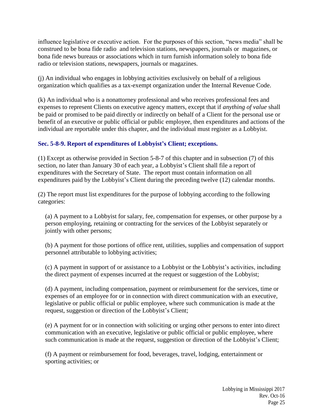influence legislative or executive action. For the purposes of this section, "news media" shall be construed to be bona fide radio and television stations, newspapers, journals or magazines, or bona fide news bureaus or associations which in turn furnish information solely to bona fide radio or television stations, newspapers, journals or magazines.

(j) An individual who engages in lobbying activities exclusively on behalf of a religious organization which qualifies as a tax-exempt organization under the Internal Revenue Code.

(k) An individual who is a nonattorney professional and who receives professional fees and expenses to represent Clients on executive agency matters, except that if *anything of value* shall be paid or promised to be paid directly or indirectly on behalf of a Client for the personal use or benefit of an executive or public official or public employee, then expenditures and actions of the individual are reportable under this chapter, and the individual must register as a Lobbyist.

#### **Sec. 5-8-9. Report of expenditures of Lobbyist's Client; exceptions.**

(1) Except as otherwise provided in Section 5-8-7 of this chapter and in subsection (7) of this section, no later than January 30 of each year, a Lobbyist's Client shall file a report of expenditures with the Secretary of State. The report must contain information on all expenditures paid by the Lobbyist's Client during the preceding twelve (12) calendar months.

(2) The report must list expenditures for the purpose of lobbying according to the following categories:

(a) A payment to a Lobbyist for salary, fee, compensation for expenses, or other purpose by a person employing, retaining or contracting for the services of the Lobbyist separately or jointly with other persons;

(b) A payment for those portions of office rent, utilities, supplies and compensation of support personnel attributable to lobbying activities;

(c) A payment in support of or assistance to a Lobbyist or the Lobbyist's activities, including the direct payment of expenses incurred at the request or suggestion of the Lobbyist;

(d) A payment, including compensation, payment or reimbursement for the services, time or expenses of an employee for or in connection with direct communication with an executive, legislative or public official or public employee, where such communication is made at the request, suggestion or direction of the Lobbyist's Client;

(e) A payment for or in connection with soliciting or urging other persons to enter into direct communication with an executive, legislative or public official or public employee, where such communication is made at the request, suggestion or direction of the Lobbyist's Client;

(f) A payment or reimbursement for food, beverages, travel, lodging, entertainment or sporting activities; or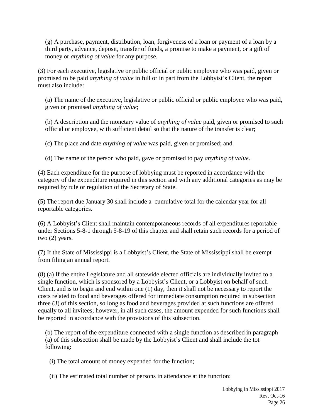(g) A purchase, payment, distribution, loan, forgiveness of a loan or payment of a loan by a third party, advance, deposit, transfer of funds, a promise to make a payment, or a gift of money or *anything of value* for any purpose.

(3) For each executive, legislative or public official or public employee who was paid, given or promised to be paid *anything of value* in full or in part from the Lobbyist's Client, the report must also include:

(a) The name of the executive, legislative or public official or public employee who was paid, given or promised *anything of value*;

(b) A description and the monetary value of *anything of value* paid, given or promised to such official or employee, with sufficient detail so that the nature of the transfer is clear;

(c) The place and date *anything of value* was paid, given or promised; and

(d) The name of the person who paid, gave or promised to pay *anything of value*.

(4) Each expenditure for the purpose of lobbying must be reported in accordance with the category of the expenditure required in this section and with any additional categories as may be required by rule or regulation of the Secretary of State.

(5) The report due January 30 shall include a cumulative total for the calendar year for all reportable categories.

(6) A Lobbyist's Client shall maintain contemporaneous records of all expenditures reportable under Sections 5-8-1 through 5-8-19 of this chapter and shall retain such records for a period of two (2) years.

(7) If the State of Mississippi is a Lobbyist's Client, the State of Mississippi shall be exempt from filing an annual report.

(8) (a) If the entire Legislature and all statewide elected officials are individually invited to a single function, which is sponsored by a Lobbyist's Client, or a Lobbyist on behalf of such Client, and is to begin and end within one (1) day, then it shall not be necessary to report the costs related to food and beverages offered for immediate consumption required in subsection three (3) of this section, so long as food and beverages provided at such functions are offered equally to all invitees; however, in all such cases, the amount expended for such functions shall be reported in accordance with the provisions of this subsection.

(b) The report of the expenditure connected with a single function as described in paragraph (a) of this subsection shall be made by the Lobbyist's Client and shall include the tot following:

(i) The total amount of money expended for the function;

(ii) The estimated total number of persons in attendance at the function;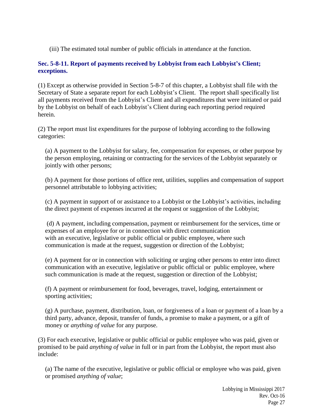(iii) The estimated total number of public officials in attendance at the function.

#### **Sec. 5-8-11. Report of payments received by Lobbyist from each Lobbyist's Client; exceptions.**

(1) Except as otherwise provided in Section 5-8-7 of this chapter, a Lobbyist shall file with the Secretary of State a separate report for each Lobbyist's Client. The report shall specifically list all payments received from the Lobbyist's Client and all expenditures that were initiated or paid by the Lobbyist on behalf of each Lobbyist's Client during each reporting period required herein.

(2) The report must list expenditures for the purpose of lobbying according to the following categories:

(a) A payment to the Lobbyist for salary, fee, compensation for expenses, or other purpose by the person employing, retaining or contracting for the services of the Lobbyist separately or jointly with other persons;

(b) A payment for those portions of office rent, utilities, supplies and compensation of support personnel attributable to lobbying activities;

(c) A payment in support of or assistance to a Lobbyist or the Lobbyist's activities, including the direct payment of expenses incurred at the request or suggestion of the Lobbyist;

(d) A payment, including compensation, payment or reimbursement for the services, time or expenses of an employee for or in connection with direct communication with an executive, legislative or public official or public employee, where such communication is made at the request, suggestion or direction of the Lobbyist;

(e) A payment for or in connection with soliciting or urging other persons to enter into direct communication with an executive, legislative or public official or public employee, where such communication is made at the request, suggestion or direction of the Lobbyist;

(f) A payment or reimbursement for food, beverages, travel, lodging, entertainment or sporting activities;

(g) A purchase, payment, distribution, loan, or forgiveness of a loan or payment of a loan by a third party, advance, deposit, transfer of funds, a promise to make a payment, or a gift of money or *anything of value* for any purpose.

(3) For each executive, legislative or public official or public employee who was paid, given or promised to be paid *anything of value* in full or in part from the Lobbyist, the report must also include:

(a) The name of the executive, legislative or public official or employee who was paid, given or promised *anything of value*;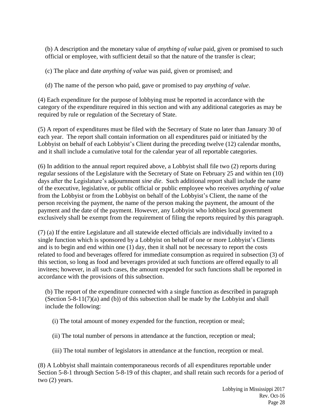(b) A description and the monetary value of *anything of value* paid, given or promised to such official or employee, with sufficient detail so that the nature of the transfer is clear;

(c) The place and date *anything of value* was paid, given or promised; and

(d) The name of the person who paid, gave or promised to pay *anything of value*.

(4) Each expenditure for the purpose of lobbying must be reported in accordance with the category of the expenditure required in this section and with any additional categories as may be required by rule or regulation of the Secretary of State.

(5) A report of expenditures must be filed with the Secretary of State no later than January 30 of each year. The report shall contain information on all expenditures paid or initiated by the Lobbyist on behalf of each Lobbyist's Client during the preceding twelve (12) calendar months, and it shall include a cumulative total for the calendar year of all reportable categories.

(6) In addition to the annual report required above, a Lobbyist shall file two (2) reports during regular sessions of the Legislature with the Secretary of State on February 25 and within ten (10) days after the Legislature's adjournment *sine die*. Such additional report shall include the name of the executive, legislative, or public official or public employee who receives *anything of value* from the Lobbyist or from the Lobbyist on behalf of the Lobbyist's Client, the name of the person receiving the payment, the name of the person making the payment, the amount of the payment and the date of the payment. However, any Lobbyist who lobbies local government exclusively shall be exempt from the requirement of filing the reports required by this paragraph.

(7) (a) If the entire Legislature and all statewide elected officials are individually invited to a single function which is sponsored by a Lobbyist on behalf of one or more Lobbyist's Clients and is to begin and end within one (1) day, then it shall not be necessary to report the costs related to food and beverages offered for immediate consumption as required in subsection (3) of this section, so long as food and beverages provided at such functions are offered equally to all invitees; however, in all such cases, the amount expended for such functions shall be reported in accordance with the provisions of this subsection.

(b) The report of the expenditure connected with a single function as described in paragraph (Section 5-8-11(7)(a) and (b)) of this subsection shall be made by the Lobbyist and shall include the following:

- (i) The total amount of money expended for the function, reception or meal;
- (ii) The total number of persons in attendance at the function, reception or meal;
- (iii) The total number of legislators in attendance at the function, reception or meal.

(8) A Lobbyist shall maintain contemporaneous records of all expenditures reportable under Section 5-8-1 through Section 5-8-19 of this chapter, and shall retain such records for a period of two (2) years.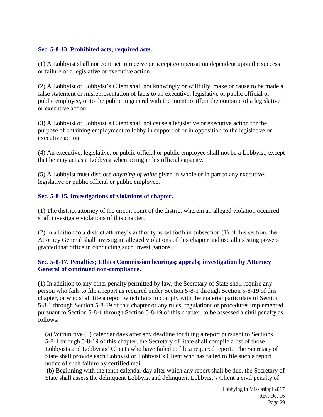#### **Sec. 5-8-13. Prohibited acts; required acts.**

(1) A Lobbyist shall not contract to receive or accept compensation dependent upon the success or failure of a legislative or executive action.

(2) A Lobbyist or Lobbyist's Client shall not knowingly or willfully make or cause to be made a false statement or misrepresentation of facts to an executive, legislative or public official or public employee, or to the public in general with the intent to affect the outcome of a legislative or executive action.

(3) A Lobbyist or Lobbyist's Client shall not cause a legislative or executive action for the purpose of obtaining employment to lobby in support of or in opposition to the legislative or executive action.

(4) An executive, legislative, or public official or public employee shall not be a Lobbyist, except that he may act as a Lobbyist when acting in his official capacity.

(5) A Lobbyist must disclose *anything of value* given in whole or in part to any executive, legislative or public official or public employee.

#### **Sec. 5-8-15. Investigations of violations of chapter.**

(1) The district attorney of the circuit court of the district wherein an alleged violation occurred shall investigate violations of this chapter.

(2) In addition to a district attorney's authority as set forth in subsection (1) of this section, the Attorney General shall investigate alleged violations of this chapter and use all existing powers granted that office in conducting such investigations.

#### **Sec. 5-8-17. Penalties; Ethics Commission hearings; appeals; investigation by Attorney General of continued non-compliance.**

(1) In addition to any other penalty permitted by law, the Secretary of State shall require any person who fails to file a report as required under Section 5-8-1 through Section 5-8-19 of this chapter, or who shall file a report which fails to comply with the material particulars of Section 5-8-1 through Section 5-8-19 of this chapter or any rules, regulations or procedures implemented pursuant to Section 5-8-1 through Section 5-8-19 of this chapter, to be assessed a civil penalty as follows:

(a) Within five (5) calendar days after any deadline for filing a report pursuant to Sections 5-8-1 through 5-8-19 of this chapter, the Secretary of State shall compile a list of those Lobbyists and Lobbyists' Clients who have failed to file a required report. The Secretary of State shall provide each Lobbyist or Lobbyist's Client who has failed to file such a report notice of such failure by certified mail.

(b) Beginning with the tenth calendar day after which any report shall be due, the Secretary of State shall assess the delinquent Lobbyist and delinquent Lobbyist's Client a civil penalty of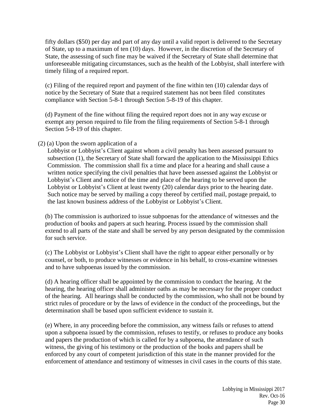fifty dollars (\$50) per day and part of any day until a valid report is delivered to the Secretary of State, up to a maximum of ten (10) days. However, in the discretion of the Secretary of State, the assessing of such fine may be waived if the Secretary of State shall determine that unforeseeable mitigating circumstances, such as the health of the Lobbyist, shall interfere with timely filing of a required report.

(c) Filing of the required report and payment of the fine within ten (10) calendar days of notice by the Secretary of State that a required statement has not been filed constitutes compliance with Section 5-8-1 through Section 5-8-19 of this chapter.

(d) Payment of the fine without filing the required report does not in any way excuse or exempt any person required to file from the filing requirements of Section 5-8-1 through Section 5-8-19 of this chapter.

(2) (a) Upon the sworn application of a

Lobbyist or Lobbyist's Client against whom a civil penalty has been assessed pursuant to subsection (1), the Secretary of State shall forward the application to the Mississippi Ethics Commission. The commission shall fix a time and place for a hearing and shall cause a written notice specifying the civil penalties that have been assessed against the Lobbyist or Lobbyist's Client and notice of the time and place of the hearing to be served upon the Lobbyist or Lobbyist's Client at least twenty (20) calendar days prior to the hearing date. Such notice may be served by mailing a copy thereof by certified mail, postage prepaid, to the last known business address of the Lobbyist or Lobbyist's Client.

(b) The commission is authorized to issue subpoenas for the attendance of witnesses and the production of books and papers at such hearing. Process issued by the commission shall extend to all parts of the state and shall be served by any person designated by the commission for such service.

(c) The Lobbyist or Lobbyist's Client shall have the right to appear either personally or by counsel, or both, to produce witnesses or evidence in his behalf, to cross-examine witnesses and to have subpoenas issued by the commission.

(d) A hearing officer shall be appointed by the commission to conduct the hearing. At the hearing, the hearing officer shall administer oaths as may be necessary for the proper conduct of the hearing. All hearings shall be conducted by the commission, who shall not be bound by strict rules of procedure or by the laws of evidence in the conduct of the proceedings, but the determination shall be based upon sufficient evidence to sustain it.

(e) Where, in any proceeding before the commission, any witness fails or refuses to attend upon a subpoena issued by the commission, refuses to testify, or refuses to produce any books and papers the production of which is called for by a subpoena, the attendance of such witness, the giving of his testimony or the production of the books and papers shall be enforced by any court of competent jurisdiction of this state in the manner provided for the enforcement of attendance and testimony of witnesses in civil cases in the courts of this state.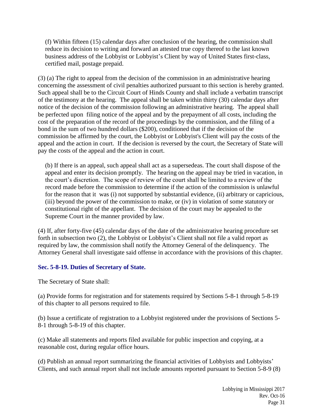(f) Within fifteen (15) calendar days after conclusion of the hearing, the commission shall reduce its decision to writing and forward an attested true copy thereof to the last known business address of the Lobbyist or Lobbyist's Client by way of United States first-class, certified mail, postage prepaid.

(3) (a) The right to appeal from the decision of the commission in an administrative hearing concerning the assessment of civil penalties authorized pursuant to this section is hereby granted. Such appeal shall be to the Circuit Court of Hinds County and shall include a verbatim transcript of the testimony at the hearing. The appeal shall be taken within thirty (30) calendar days after notice of the decision of the commission following an administrative hearing. The appeal shall be perfected upon filing notice of the appeal and by the prepayment of all costs, including the cost of the preparation of the record of the proceedings by the commission, and the filing of a bond in the sum of two hundred dollars (\$200), conditioned that if the decision of the commission be affirmed by the court, the Lobbyist or Lobbyist's Client will pay the costs of the appeal and the action in court. If the decision is reversed by the court, the Secretary of State will pay the costs of the appeal and the action in court.

(b) If there is an appeal, such appeal shall act as a supersedeas. The court shall dispose of the appeal and enter its decision promptly. The hearing on the appeal may be tried in vacation, in the court's discretion. The scope of review of the court shall be limited to a review of the record made before the commission to determine if the action of the commission is unlawful for the reason that it was (i) not supported by substantial evidence, (ii) arbitrary or capricious, (iii) beyond the power of the commission to make, or (iv) in violation of some statutory or constitutional right of the appellant. The decision of the court may be appealed to the Supreme Court in the manner provided by law.

(4) If, after forty-five (45) calendar days of the date of the administrative hearing procedure set forth in subsection two (2), the Lobbyist or Lobbyist's Client shall not file a valid report as required by law, the commission shall notify the Attorney General of the delinquency. The Attorney General shall investigate said offense in accordance with the provisions of this chapter.

#### **Sec. 5-8-19. Duties of Secretary of State.**

The Secretary of State shall:

(a) Provide forms for registration and for statements required by Sections 5-8-1 through 5-8-19 of this chapter to all persons required to file.

(b) Issue a certificate of registration to a Lobbyist registered under the provisions of Sections 5- 8-1 through 5-8-19 of this chapter.

(c) Make all statements and reports filed available for public inspection and copying, at a reasonable cost, during regular office hours.

(d) Publish an annual report summarizing the financial activities of Lobbyists and Lobbyists' Clients, and such annual report shall not include amounts reported pursuant to Section 5-8-9 (8)